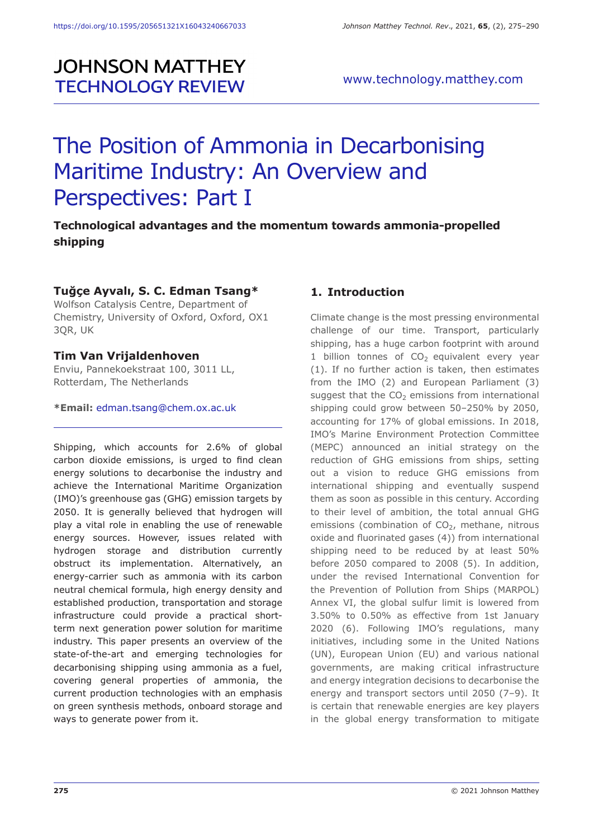# **JOHNSON MATTHEY TECHNOLOGY REVIEW**

# The Position of Ammonia in Decarbonising Maritime Industry: An Overview and Perspectives: Part I

# **Technological advantages and the momentum towards ammonia-propelled shipping**

# **Tuğçe Ayvalı, S. C. Edman Tsang\***

Wolfson Catalysis Centre, Department of Chemistry, University of Oxford, Oxford, OX1 3QR, UK

#### **Tim Van Vrijaldenhoven**

Enviu, Pannekoekstraat 100, 3011 LL, Rotterdam, The Netherlands

**\*Email:** edman.tsang@chem.ox.ac.uk

Shipping, which accounts for 2.6% of global carbon dioxide emissions, is urged to find clean energy solutions to decarbonise the industry and achieve the International Maritime Organization (IMO)'s greenhouse gas (GHG) emission targets by 2050. It is generally believed that hydrogen will play a vital role in enabling the use of renewable energy sources. However, issues related with hydrogen storage and distribution currently obstruct its implementation. Alternatively, an energy-carrier such as ammonia with its carbon neutral chemical formula, high energy density and established production, transportation and storage infrastructure could provide a practical shortterm next generation power solution for maritime industry. This paper presents an overview of the state-of-the-art and emerging technologies for decarbonising shipping using ammonia as a fuel, covering general properties of ammonia, the current production technologies with an emphasis on green synthesis methods, onboard storage and ways to generate power from it.

# **1. Introduction**

Climate change is the most pressing environmental challenge of our time. Transport, particularly shipping, has a huge carbon footprint with around 1 billion tonnes of  $CO<sub>2</sub>$  equivalent every year (1). If no further action is taken, then estimates from the IMO (2) and European Parliament (3) suggest that the  $CO<sub>2</sub>$  emissions from international shipping could grow between 50–250% by 2050, accounting for 17% of global emissions. In 2018, IMO's Marine Environment Protection Committee (MEPC) announced an initial strategy on the reduction of GHG emissions from ships, setting out a vision to reduce GHG emissions from international shipping and eventually suspend them as soon as possible in this century. According to their level of ambition, the total annual GHG emissions (combination of  $CO<sub>2</sub>$ , methane, nitrous oxide and fluorinated gases (4)) from international shipping need to be reduced by at least 50% before 2050 compared to 2008 (5). In addition, under the revised International Convention for the Prevention of Pollution from Ships (MARPOL) Annex VI, the global sulfur limit is lowered from 3.50% to 0.50% as effective from 1st January 2020 (6). Following IMO's regulations, many initiatives, including some in the United Nations (UN), European Union (EU) and various national governments, are making critical infrastructure and energy integration decisions to decarbonise the energy and transport sectors until 2050 (7–9). It is certain that renewable energies are key players in the global energy transformation to mitigate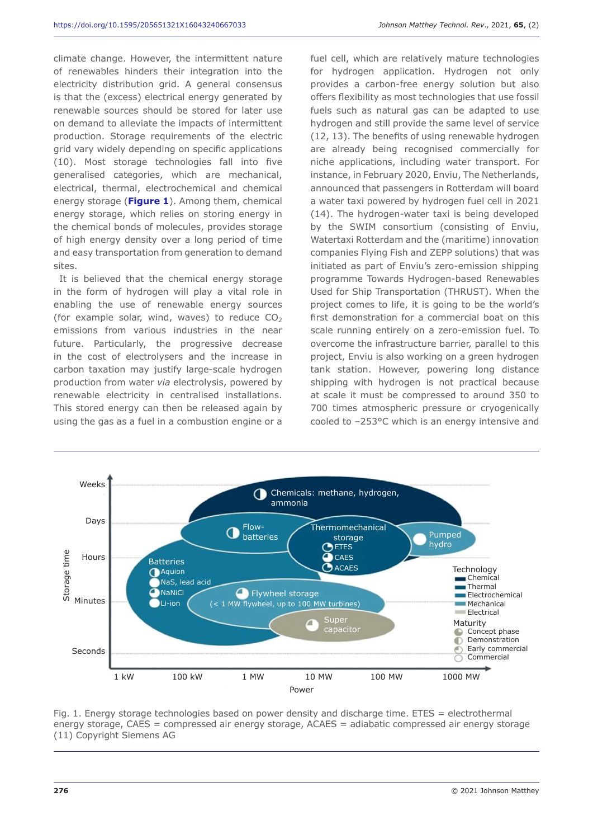climate change. However, the intermittent nature of renewables hinders their integration into the electricity distribution grid. A general consensus is that the (excess) electrical energy generated by renewable sources should be stored for later use on demand to alleviate the impacts of intermittent production. Storage requirements of the electric grid vary widely depending on specific applications (10). Most storage technologies fall into five generalised categories, which are mechanical, electrical, thermal, electrochemical and chemical energy storage (**Figure 1**). Among them, chemical energy storage, which relies on storing energy in the chemical bonds of molecules, provides storage of high energy density over a long period of time and easy transportation from generation to demand sites.

It is believed that the chemical energy storage in the form of hydrogen will play a vital role in enabling the use of renewable energy sources (for example solar, wind, waves) to reduce  $CO<sub>2</sub>$ emissions from various industries in the near future. Particularly, the progressive decrease in the cost of electrolysers and the increase in carbon taxation may justify large-scale hydrogen production from water *via* electrolysis, powered by renewable electricity in centralised installations. This stored energy can then be released again by using the gas as a fuel in a combustion engine or a

fuel cell, which are relatively mature technologies for hydrogen application. Hydrogen not only provides a carbon-free energy solution but also offers flexibility as most technologies that use fossil fuels such as natural gas can be adapted to use hydrogen and still provide the same level of service (12, 13). The benefits of using renewable hydrogen are already being recognised commercially for niche applications, including water transport. For instance, in February 2020, Enviu, The Netherlands, announced that passengers in Rotterdam will board a water taxi powered by hydrogen fuel cell in 2021 (14). The hydrogen-water taxi is being developed by the SWIM consortium (consisting of Enviu, Watertaxi Rotterdam and the (maritime) innovation companies Flying Fish and ZEPP solutions) that was initiated as part of Enviu's zero-emission shipping programme Towards Hydrogen-based Renewables Used for Ship Transportation (THRUST). When the project comes to life, it is going to be the world's first demonstration for a commercial boat on this scale running entirely on a zero-emission fuel. To overcome the infrastructure barrier, parallel to this project, Enviu is also working on a green hydrogen tank station. However, powering long distance shipping with hydrogen is not practical because at scale it must be compressed to around 350 to 700 times atmospheric pressure or cryogenically cooled to –253°C which is an energy intensive and



Fig. 1. Energy storage technologies based on power density and discharge time. ETES = electrothermal energy storage, CAES = compressed air energy storage, ACAES = adiabatic compressed air energy storage (11) Copyright Siemens AG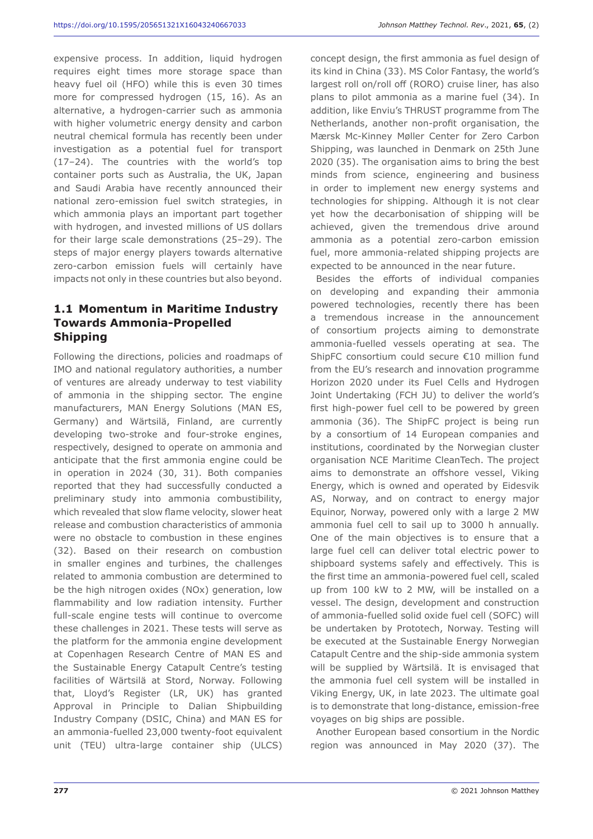expensive process. In addition, liquid hydrogen requires eight times more storage space than heavy fuel oil (HFO) while this is even 30 times more for compressed hydrogen (15, 16). As an alternative, a hydrogen-carrier such as ammonia with higher volumetric energy density and carbon neutral chemical formula has recently been under investigation as a potential fuel for transport (17–24). The countries with the world's top container ports such as Australia, the UK, Japan and Saudi Arabia have recently announced their national zero-emission fuel switch strategies, in which ammonia plays an important part together with hydrogen, and invested millions of US dollars for their large scale demonstrations (25–29). The steps of major energy players towards alternative zero-carbon emission fuels will certainly have impacts not only in these countries but also beyond.

# **1.1 Momentum in Maritime Industry Towards Ammonia-Propelled Shipping**

Following the directions, policies and roadmaps of IMO and national regulatory authorities, a number of ventures are already underway to test viability of ammonia in the shipping sector. The engine manufacturers, MAN Energy Solutions (MAN ES, Germany) and Wärtsilä, Finland, are currently developing two-stroke and four-stroke engines, respectively, designed to operate on ammonia and anticipate that the first ammonia engine could be in operation in 2024 (30, 31). Both companies reported that they had successfully conducted a preliminary study into ammonia combustibility, which revealed that slow flame velocity, slower heat release and combustion characteristics of ammonia were no obstacle to combustion in these engines (32). Based on their research on combustion in smaller engines and turbines, the challenges related to ammonia combustion are determined to be the high nitrogen oxides (NOx) generation, low flammability and low radiation intensity. Further full-scale engine tests will continue to overcome these challenges in 2021. These tests will serve as the platform for the ammonia engine development at Copenhagen Research Centre of MAN ES and the Sustainable Energy Catapult Centre's testing facilities of Wärtsilä at Stord, Norway. Following that, Lloyd's Register (LR, UK) has granted Approval in Principle to Dalian Shipbuilding Industry Company (DSIC, China) and MAN ES for an ammonia-fuelled 23,000 twenty-foot equivalent unit (TEU) ultra-large container ship (ULCS) concept design, the first ammonia as fuel design of its kind in China (33). MS Color Fantasy, the world's largest roll on/roll off (RORO) cruise liner, has also plans to pilot ammonia as a marine fuel (34). In addition, like Enviu's THRUST programme from The Netherlands, another non-profit organisation, the Mærsk Mc-Kinney Møller Center for Zero Carbon Shipping, was launched in Denmark on 25th June 2020 (35). The organisation aims to bring the best minds from science, engineering and business in order to implement new energy systems and technologies for shipping. Although it is not clear yet how the decarbonisation of shipping will be achieved, given the tremendous drive around ammonia as a potential zero-carbon emission fuel, more ammonia-related shipping projects are expected to be announced in the near future.

Besides the efforts of individual companies on developing and expanding their ammonia powered technologies, recently there has been a tremendous increase in the announcement of consortium projects aiming to demonstrate ammonia-fuelled vessels operating at sea. The ShipFC consortium could secure €10 million fund from the EU's research and innovation programme Horizon 2020 under its Fuel Cells and Hydrogen Joint Undertaking (FCH JU) to deliver the world's first high-power fuel cell to be powered by green ammonia (36). The ShipFC project is being run by a consortium of 14 European companies and institutions, coordinated by the Norwegian cluster organisation NCE Maritime CleanTech. The project aims to demonstrate an offshore vessel, Viking Energy, which is owned and operated by Eidesvik AS, Norway, and on contract to energy major Equinor, Norway, powered only with a large 2 MW ammonia fuel cell to sail up to 3000 h annually. One of the main objectives is to ensure that a large fuel cell can deliver total electric power to shipboard systems safely and effectively. This is the first time an ammonia-powered fuel cell, scaled up from 100 kW to 2 MW, will be installed on a vessel. The design, development and construction of ammonia-fuelled solid oxide fuel cell (SOFC) will be undertaken by Prototech, Norway. Testing will be executed at the Sustainable Energy Norwegian Catapult Centre and the ship-side ammonia system will be supplied by Wärtsilä. It is envisaged that the ammonia fuel cell system will be installed in Viking Energy, UK, in late 2023. The ultimate goal is to demonstrate that long-distance, emission-free voyages on big ships are possible.

Another European based consortium in the Nordic region was announced in May 2020 (37). The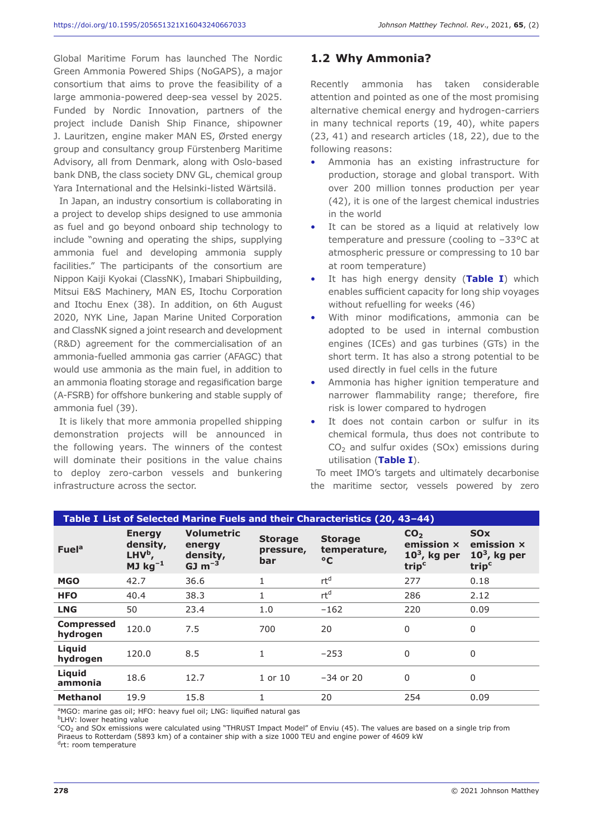Global Maritime Forum has launched The Nordic Green Ammonia Powered Ships (NoGAPS), a major consortium that aims to prove the feasibility of a large ammonia-powered deep-sea vessel by 2025. Funded by Nordic Innovation, partners of the project include Danish Ship Finance, shipowner J. Lauritzen, engine maker MAN ES, Ørsted energy group and consultancy group Fürstenberg Maritime Advisory, all from Denmark, along with Oslo-based bank DNB, the class society DNV GL, chemical group Yara International and the Helsinki-listed Wärtsilä.

In Japan, an industry consortium is collaborating in a project to develop ships designed to use ammonia as fuel and go beyond onboard ship technology to include "owning and operating the ships, supplying ammonia fuel and developing ammonia supply facilities." The participants of the consortium are Nippon Kaiji Kyokai (ClassNK), Imabari Shipbuilding, Mitsui E&S Machinery, MAN ES, Itochu Corporation and Itochu Enex (38). In addition, on 6th August 2020, NYK Line, Japan Marine United Corporation and ClassNK signed a joint research and development (R&D) agreement for the commercialisation of an ammonia-fuelled ammonia gas carrier (AFAGC) that would use ammonia as the main fuel, in addition to an ammonia floating storage and regasification barge (A-FSRB) for offshore bunkering and stable supply of ammonia fuel (39).

It is likely that more ammonia propelled shipping demonstration projects will be announced in the following years. The winners of the contest will dominate their positions in the value chains to deploy zero-carbon vessels and bunkering infrastructure across the sector.

# **1.2 Why Ammonia?**

Recently ammonia has taken considerable attention and pointed as one of the most promising alternative chemical energy and hydrogen-carriers in many technical reports (19, 40), white papers (23, 41) and research articles (18, 22), due to the following reasons:

- Ammonia has an existing infrastructure for production, storage and global transport. With over 200 million tonnes production per year (42), it is one of the largest chemical industries in the world
- It can be stored as a liquid at relatively low temperature and pressure (cooling to –33°C at atmospheric pressure or compressing to 10 bar at room temperature)
- It has high energy density (Table I) which enables sufficient capacity for long ship voyages without refuelling for weeks (46)
- With minor modifications, ammonia can be adopted to be used in internal combustion engines (ICEs) and gas turbines (GTs) in the short term. It has also a strong potential to be used directly in fuel cells in the future
- Ammonia has higher ignition temperature and narrower flammability range; therefore, fire risk is lower compared to hydrogen
- It does not contain carbon or sulfur in its chemical formula, thus does not contribute to  $CO<sub>2</sub>$  and sulfur oxides (SOx) emissions during utilisation (**Table I**).

To meet IMO's targets and ultimately decarbonise the maritime sector, vessels powered by zero

| Table I List of Selected Marine Fuels and their Characteristics (20, 43-44) |                                                                 |                                                     |                                    |                                                |                                                                      |                                                                            |  |  |  |
|-----------------------------------------------------------------------------|-----------------------------------------------------------------|-----------------------------------------------------|------------------------------------|------------------------------------------------|----------------------------------------------------------------------|----------------------------------------------------------------------------|--|--|--|
| <b>Fuel</b> <sup>a</sup>                                                    | <b>Energy</b><br>density,<br>LHV <sup>b</sup> ,<br>MJ $kg^{-1}$ | <b>Volumetric</b><br>energy<br>density,<br>$GJ m-3$ | <b>Storage</b><br>pressure,<br>bar | <b>Storage</b><br>temperature,<br>$\mathbf{C}$ | CO <sub>2</sub><br>emission x<br>$103$ , kg per<br>trip <sup>c</sup> | <b>SO<sub>x</sub></b><br>emission x<br>$103$ , kg per<br>trip <sup>c</sup> |  |  |  |
| <b>MGO</b>                                                                  | 42.7                                                            | 36.6                                                | 1                                  | rt <sup>d</sup>                                | 277                                                                  | 0.18                                                                       |  |  |  |
| <b>HFO</b>                                                                  | 40.4                                                            | 38.3                                                | $\mathbf{1}$                       | rt <sup>d</sup>                                | 286                                                                  | 2.12                                                                       |  |  |  |
| <b>LNG</b>                                                                  | 50                                                              | 23.4                                                | 1.0                                | $-162$                                         | 220                                                                  | 0.09                                                                       |  |  |  |
| <b>Compressed</b><br>hydrogen                                               | 120.0                                                           | 7.5                                                 | 700                                | 20                                             | 0                                                                    | 0                                                                          |  |  |  |
| Liquid<br>hydrogen                                                          | 120.0                                                           | 8.5                                                 | $\mathbf{1}$                       | $-253$                                         | $\Omega$                                                             | 0                                                                          |  |  |  |
| Liquid<br>ammonia                                                           | 18.6                                                            | 12.7                                                | $1$ or $10$                        | $-34$ or 20                                    | 0                                                                    | 0                                                                          |  |  |  |
| <b>Methanol</b>                                                             | 19.9                                                            | 15.8                                                | 1                                  | 20                                             | 254                                                                  | 0.09                                                                       |  |  |  |
|                                                                             |                                                                 |                                                     |                                    |                                                |                                                                      |                                                                            |  |  |  |

<sup>a</sup>MGO: marine gas oil; HFO: heavy fuel oil; LNG: liquified natural gas

<sup>b</sup>LHV: lower heating value

 $\rm{^cCO_2}$  and SOx emissions were calculated using "THRUST Impact Model" of Enviu (45). The values are based on a single trip from Piraeus to Rotterdam (5893 km) of a container ship with a size 1000 TEU and engine power of 4609 kW

<sup>d</sup>rt: room temperature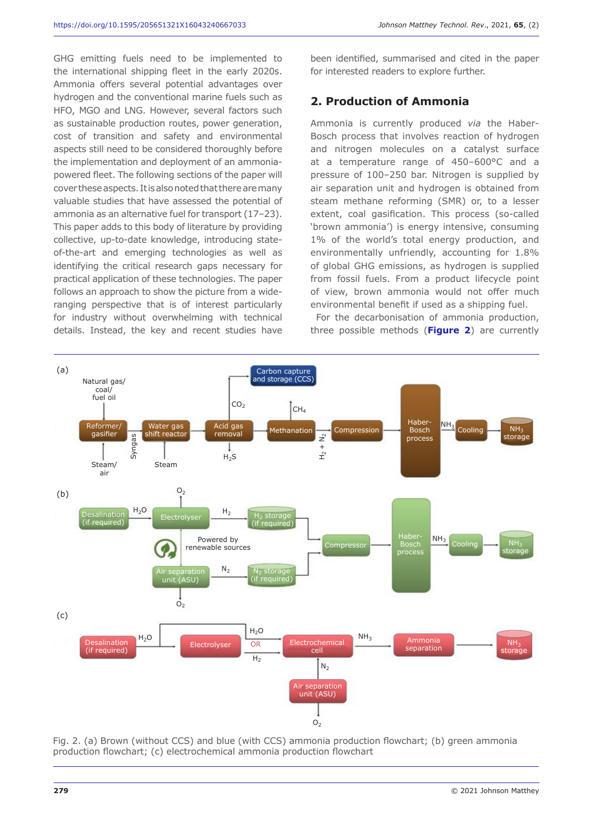GHG emitting fuels need to be implemented to the international shipping fleet in the early 2020s. Ammonia offers several potential advantages over hydrogen and the conventional marine fuels such as HFO, MGO and LNG. However, several factors such as sustainable production routes, power generation, cost of transition and safety and environmental aspects still need to be considered thoroughly before the implementation and deployment of an ammoniapowered fleet. The following sections of the paper will cover these aspects. It is also noted that there are many valuable studies that have assessed the potential of ammonia as an alternative fuel for transport (17–23). This paper adds to this body of literature by providing collective, up-to-date knowledge, introducing stateof-the-art and emerging technologies as well as identifying the critical research gaps necessary for practical application of these technologies. The paper follows an approach to show the picture from a wideranging perspective that is of interest particularly for industry without overwhelming with technical details. Instead, the key and recent studies have

been identified, summarised and cited in the paper for interested readers to explore further.

#### **2. Production of Ammonia**

Ammonia is currently produced *via* the Haber-Bosch process that involves reaction of hydrogen and nitrogen molecules on a catalyst surface at a temperature range of 450–600°C and a pressure of 100–250 bar. Nitrogen is supplied by air separation unit and hydrogen is obtained from steam methane reforming (SMR) or, to a lesser extent, coal gasification. This process (so-called 'brown ammonia') is energy intensive, consuming 1% of the world's total energy production, and environmentally unfriendly, accounting for 1.8% of global GHG emissions, as hydrogen is supplied from fossil fuels. From a product lifecycle point of view, brown ammonia would not offer much environmental benefit if used as a shipping fuel.

For the decarbonisation of ammonia production, three possible methods (**Figure 2**) are currently



Fig. 2. (a) Brown (without CCS) and blue (with CCS) ammonia production flowchart; (b) green ammonia production flowchart; (c) electrochemical ammonia production flowchart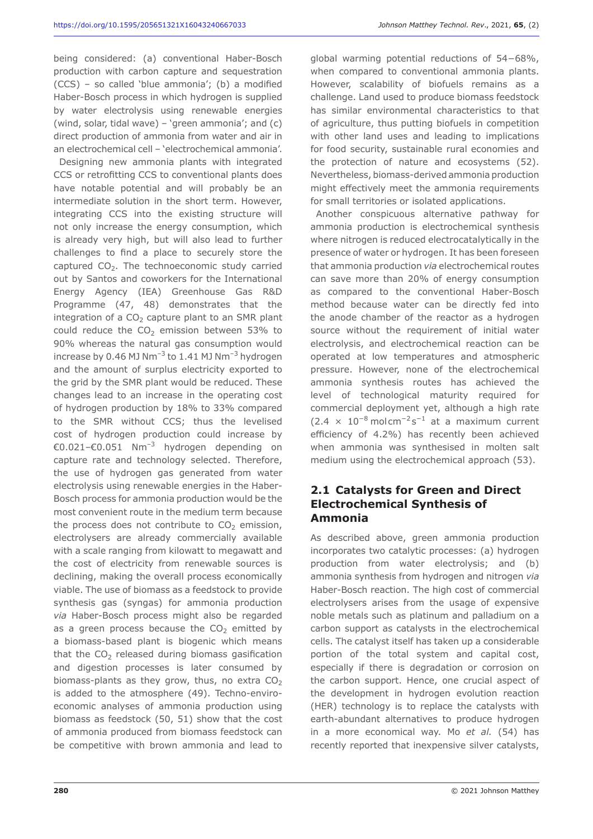being considered: (a) conventional Haber-Bosch production with carbon capture and sequestration (CCS) – so called 'blue ammonia'; (b) a modified Haber-Bosch process in which hydrogen is supplied by water electrolysis using renewable energies (wind, solar, tidal wave) – 'green ammonia'; and (c) direct production of ammonia from water and air in an electrochemical cell – 'electrochemical ammonia'.

Designing new ammonia plants with integrated CCS or retrofitting CCS to conventional plants does have notable potential and will probably be an intermediate solution in the short term. However, integrating CCS into the existing structure will not only increase the energy consumption, which is already very high, but will also lead to further challenges to find a place to securely store the captured  $CO<sub>2</sub>$ . The technoeconomic study carried out by Santos and coworkers for the International Energy Agency (IEA) Greenhouse Gas R&D Programme (47, 48) demonstrates that the integration of a  $CO<sub>2</sub>$  capture plant to an SMR plant could reduce the  $CO<sub>2</sub>$  emission between 53% to 90% whereas the natural gas consumption would increase by 0.46 MJ Nm<sup>-3</sup> to 1.41 MJ Nm<sup>-3</sup> hydrogen and the amount of surplus electricity exported to the grid by the SMR plant would be reduced. These changes lead to an increase in the operating cost of hydrogen production by 18% to 33% compared to the SMR without CCS; thus the levelised cost of hydrogen production could increase by €0.021–€0.051 Nm–3 hydrogen depending on capture rate and technology selected. Therefore, the use of hydrogen gas generated from water electrolysis using renewable energies in the Haber-Bosch process for ammonia production would be the most convenient route in the medium term because the process does not contribute to  $CO<sub>2</sub>$  emission, electrolysers are already commercially available with a scale ranging from kilowatt to megawatt and the cost of electricity from renewable sources is declining, making the overall process economically viable. The use of biomass as a feedstock to provide synthesis gas (syngas) for ammonia production *via* Haber-Bosch process might also be regarded as a green process because the  $CO<sub>2</sub>$  emitted by a biomass-based plant is biogenic which means that the  $CO<sub>2</sub>$  released during biomass gasification and digestion processes is later consumed by biomass-plants as they grow, thus, no extra  $CO<sub>2</sub>$ is added to the atmosphere (49). Techno-enviroeconomic analyses of ammonia production using biomass as feedstock (50, 51) show that the cost of ammonia produced from biomass feedstock can be competitive with brown ammonia and lead to

global warming potential reductions of 54−68%, when compared to conventional ammonia plants. However, scalability of biofuels remains as a challenge. Land used to produce biomass feedstock has similar environmental characteristics to that of agriculture, thus putting biofuels in competition with other land uses and leading to implications for food security, sustainable rural economies and the protection of nature and ecosystems (52). Nevertheless, biomass-derived ammonia production might effectively meet the ammonia requirements for small territories or isolated applications.

Another conspicuous alternative pathway for ammonia production is electrochemical synthesis where nitrogen is reduced electrocatalytically in the presence of water or hydrogen. It has been foreseen that ammonia production *via* electrochemical routes can save more than 20% of energy consumption as compared to the conventional Haber-Bosch method because water can be directly fed into the anode chamber of the reactor as a hydrogen source without the requirement of initial water electrolysis, and electrochemical reaction can be operated at low temperatures and atmospheric pressure. However, none of the electrochemical ammonia synthesis routes has achieved the level of technological maturity required for commercial deployment yet, although a high rate  $(2.4 \times 10^{-8} \text{ mol cm}^{-2} \text{s}^{-1}$  at a maximum current efficiency of 4.2%) has recently been achieved when ammonia was synthesised in molten salt medium using the electrochemical approach (53).

### **2.1 Catalysts for Green and Direct Electrochemical Synthesis of Ammonia**

As described above, green ammonia production incorporates two catalytic processes: (a) hydrogen production from water electrolysis; and (b) ammonia synthesis from hydrogen and nitrogen *via* Haber-Bosch reaction. The high cost of commercial electrolysers arises from the usage of expensive noble metals such as platinum and palladium on a carbon support as catalysts in the electrochemical cells. The catalyst itself has taken up a considerable portion of the total system and capital cost, especially if there is degradation or corrosion on the carbon support. Hence, one crucial aspect of the development in hydrogen evolution reaction (HER) technology is to replace the catalysts with earth-abundant alternatives to produce hydrogen in a more economical way. Mo *et al.* (54) has recently reported that inexpensive silver catalysts,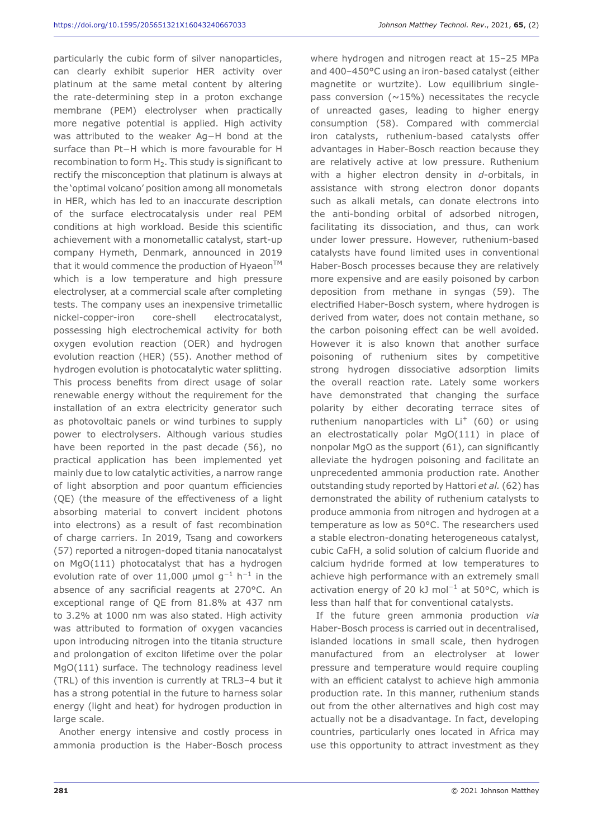particularly the cubic form of silver nanoparticles, can clearly exhibit superior HER activity over platinum at the same metal content by altering the rate-determining step in a proton exchange membrane (PEM) electrolyser when practically more negative potential is applied. High activity was attributed to the weaker Ag−H bond at the surface than Pt−H which is more favourable for H recombination to form  $H<sub>2</sub>$ . This study is significant to rectify the misconception that platinum is always at the 'optimal volcano' position among all monometals in HER, which has led to an inaccurate description of the surface electrocatalysis under real PEM conditions at high workload. Beside this scientific achievement with a monometallic catalyst, start-up company Hymeth, Denmark, announced in 2019 that it would commence the production of Hyaeon $TM$ which is a low temperature and high pressure electrolyser, at a commercial scale after completing tests. The company uses an inexpensive trimetallic nickel-copper-iron core-shell electrocatalyst, possessing high electrochemical activity for both oxygen evolution reaction (OER) and hydrogen evolution reaction (HER) (55). Another method of hydrogen evolution is photocatalytic water splitting. This process benefits from direct usage of solar renewable energy without the requirement for the installation of an extra electricity generator such as photovoltaic panels or wind turbines to supply power to electrolysers. Although various studies have been reported in the past decade (56), no practical application has been implemented yet mainly due to low catalytic activities, a narrow range of light absorption and poor quantum efficiencies (QE) (the measure of the effectiveness of a light absorbing material to convert incident photons into electrons) as a result of fast recombination of charge carriers. In 2019, Tsang and coworkers (57) reported a nitrogen-doped titania nanocatalyst on MgO(111) photocatalyst that has a hydrogen evolution rate of over 11,000 µmol  $q^{-1}$  h<sup>-1</sup> in the absence of any sacrificial reagents at 270°C. An exceptional range of QE from 81.8% at 437 nm to 3.2% at 1000 nm was also stated. High activity was attributed to formation of oxygen vacancies upon introducing nitrogen into the titania structure and prolongation of exciton lifetime over the polar MgO(111) surface. The technology readiness level (TRL) of this invention is currently at TRL3–4 but it has a strong potential in the future to harness solar energy (light and heat) for hydrogen production in large scale.

Another energy intensive and costly process in ammonia production is the Haber-Bosch process

where hydrogen and nitrogen react at 15–25 MPa and 400–450°C using an iron-based catalyst (either magnetite or wurtzite). Low equilibrium singlepass conversion ( $\sim$ 15%) necessitates the recycle of unreacted gases, leading to higher energy consumption (58). Compared with commercial iron catalysts, ruthenium-based catalysts offer advantages in Haber-Bosch reaction because they are relatively active at low pressure. Ruthenium with a higher electron density in *d*-orbitals, in assistance with strong electron donor dopants such as alkali metals, can donate electrons into the anti-bonding orbital of adsorbed nitrogen, facilitating its dissociation, and thus, can work under lower pressure. However, ruthenium-based catalysts have found limited uses in conventional Haber-Bosch processes because they are relatively more expensive and are easily poisoned by carbon deposition from methane in syngas (59). The electrified Haber-Bosch system, where hydrogen is derived from water, does not contain methane, so the carbon poisoning effect can be well avoided. However it is also known that another surface poisoning of ruthenium sites by competitive strong hydrogen dissociative adsorption limits the overall reaction rate. Lately some workers have demonstrated that changing the surface polarity by either decorating terrace sites of ruthenium nanoparticles with  $Li<sup>+</sup>$  (60) or using an electrostatically polar MgO(111) in place of nonpolar MgO as the support (61), can significantly alleviate the hydrogen poisoning and facilitate an unprecedented ammonia production rate. Another outstanding study reported by Hattori *et al.* (62) has demonstrated the ability of ruthenium catalysts to produce ammonia from nitrogen and hydrogen at a temperature as low as 50°C. The researchers used a stable electron-donating heterogeneous catalyst, cubic CaFH, a solid solution of calcium fluoride and calcium hydride formed at low temperatures to achieve high performance with an extremely small activation energy of 20 kJ mol−1 at 50°C, which is less than half that for conventional catalysts.

If the future green ammonia production *via* Haber-Bosch process is carried out in decentralised, islanded locations in small scale, then hydrogen manufactured from an electrolyser at lower pressure and temperature would require coupling with an efficient catalyst to achieve high ammonia production rate. In this manner, ruthenium stands out from the other alternatives and high cost may actually not be a disadvantage. In fact, developing countries, particularly ones located in Africa may use this opportunity to attract investment as they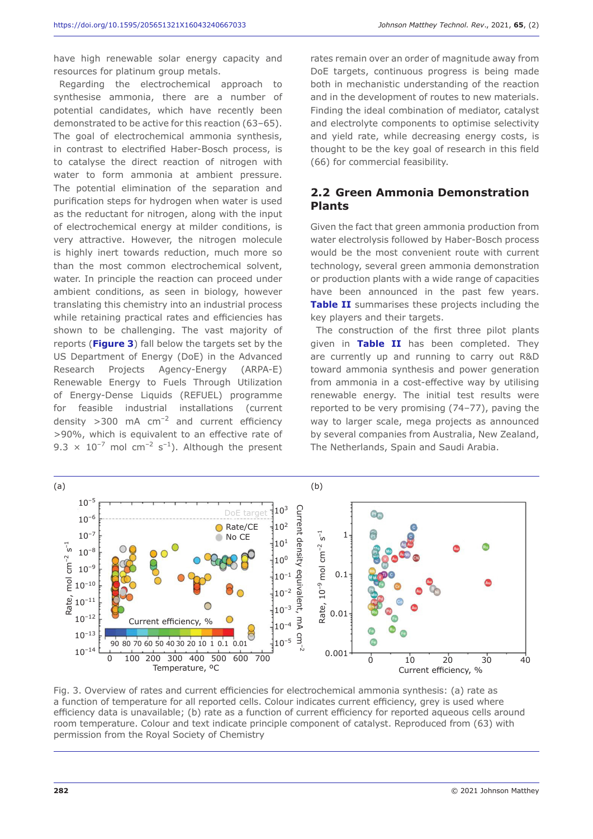have high renewable solar energy capacity and resources for platinum group metals.

Regarding the electrochemical approach to synthesise ammonia, there are a number of potential candidates, which have recently been demonstrated to be active for this reaction (63–65). The goal of electrochemical ammonia synthesis, in contrast to electrified Haber-Bosch process, is to catalyse the direct reaction of nitrogen with water to form ammonia at ambient pressure. The potential elimination of the separation and purification steps for hydrogen when water is used as the reductant for nitrogen, along with the input of electrochemical energy at milder conditions, is very attractive. However, the nitrogen molecule is highly inert towards reduction, much more so than the most common electrochemical solvent, water. In principle the reaction can proceed under ambient conditions, as seen in biology, however translating this chemistry into an industrial process while retaining practical rates and efficiencies has shown to be challenging. The vast majority of reports (**Figure 3**) fall below the targets set by the US Department of Energy (DoE) in the Advanced Research Projects Agency-Energy (ARPA-E) Renewable Energy to Fuels Through Utilization of Energy-Dense Liquids (REFUEL) programme for feasible industrial installations (current density  $>300$  mA cm<sup>-2</sup> and current efficiency >90%, which is equivalent to an effective rate of 9.3  $\times$  10<sup>-7</sup> mol cm<sup>-2</sup> s<sup>-1</sup>). Although the present rates remain over an order of magnitude away from DoE targets, continuous progress is being made both in mechanistic understanding of the reaction and in the development of routes to new materials. Finding the ideal combination of mediator, catalyst and electrolyte components to optimise selectivity and yield rate, while decreasing energy costs, is thought to be the key goal of research in this field (66) for commercial feasibility.

#### **2.2 Green Ammonia Demonstration Plants**

Given the fact that green ammonia production from water electrolysis followed by Haber-Bosch process would be the most convenient route with current technology, several green ammonia demonstration or production plants with a wide range of capacities have been announced in the past few years. **Table II** summarises these projects including the key players and their targets.

The construction of the first three pilot plants given in **Table II** has been completed. They are currently up and running to carry out R&D toward ammonia synthesis and power generation from ammonia in a cost-effective way by utilising renewable energy. The initial test results were reported to be very promising (74–77), paving the way to larger scale, mega projects as announced by several companies from Australia, New Zealand, The Netherlands, Spain and Saudi Arabia.



Fig. 3. Overview of rates and current efficiencies for electrochemical ammonia synthesis: (a) rate as a function of temperature for all reported cells. Colour indicates current efficiency, grey is used where efficiency data is unavailable; (b) rate as a function of current efficiency for reported aqueous cells around room temperature. Colour and text indicate principle component of catalyst. Reproduced from (63) with permission from the Royal Society of Chemistry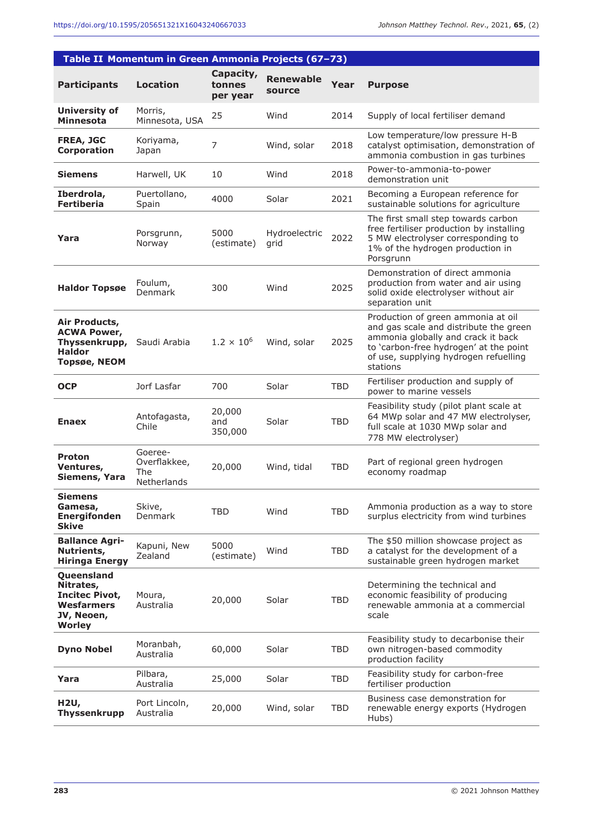| Table II Momentum in Green Ammonia Projects (67-73)                                                  |                                               |                                 |                            |            |                                                                                                                                                                                                                   |  |  |  |
|------------------------------------------------------------------------------------------------------|-----------------------------------------------|---------------------------------|----------------------------|------------|-------------------------------------------------------------------------------------------------------------------------------------------------------------------------------------------------------------------|--|--|--|
| <b>Participants</b>                                                                                  | Location                                      | Capacity,<br>tonnes<br>per year | <b>Renewable</b><br>source | Year       | <b>Purpose</b>                                                                                                                                                                                                    |  |  |  |
| <b>University of</b><br><b>Minnesota</b>                                                             | Morris,<br>Minnesota, USA                     | 25                              | Wind                       | 2014       | Supply of local fertiliser demand                                                                                                                                                                                 |  |  |  |
| <b>FREA, JGC</b><br>Corporation                                                                      | Koriyama,<br>Japan                            | 7                               | Wind, solar                | 2018       | Low temperature/low pressure H-B<br>catalyst optimisation, demonstration of<br>ammonia combustion in gas turbines                                                                                                 |  |  |  |
| <b>Siemens</b>                                                                                       | Harwell, UK                                   | 10                              | Wind                       | 2018       | Power-to-ammonia-to-power<br>demonstration unit                                                                                                                                                                   |  |  |  |
| Iberdrola,<br><b>Fertiberia</b>                                                                      | Puertollano,<br>Spain                         | 4000                            | Solar                      | 2021       | Becoming a European reference for<br>sustainable solutions for agriculture                                                                                                                                        |  |  |  |
| Yara                                                                                                 | Porsgrunn,<br>Norway                          | 5000<br>(estimate)              | Hydroelectric<br>grid      | 2022       | The first small step towards carbon<br>free fertiliser production by installing<br>5 MW electrolyser corresponding to<br>1% of the hydrogen production in<br>Porsgrunn                                            |  |  |  |
| <b>Haldor Topsøe</b>                                                                                 | Foulum,<br>Denmark                            | 300                             | Wind                       | 2025       | Demonstration of direct ammonia<br>production from water and air using<br>solid oxide electrolyser without air<br>separation unit                                                                                 |  |  |  |
| Air Products,<br><b>ACWA Power,</b><br>Thyssenkrupp,<br><b>Haldor</b><br><b>Topsøe, NEOM</b>         | Saudi Arabia                                  | $1.2 \times 10^{6}$             | Wind, solar                | 2025       | Production of green ammonia at oil<br>and gas scale and distribute the green<br>ammonia globally and crack it back<br>to 'carbon-free hydrogen' at the point<br>of use, supplying hydrogen refuelling<br>stations |  |  |  |
| <b>OCP</b>                                                                                           | Jorf Lasfar                                   | 700                             | Solar                      | TBD        | Fertiliser production and supply of<br>power to marine vessels                                                                                                                                                    |  |  |  |
| <b>Enaex</b>                                                                                         | Antofagasta,<br>Chile                         | 20,000<br>and<br>350,000        | Solar                      | <b>TBD</b> | Feasibility study (pilot plant scale at<br>64 MWp solar and 47 MW electrolyser,<br>full scale at 1030 MWp solar and<br>778 MW electrolyser)                                                                       |  |  |  |
| <b>Proton</b><br>Ventures,<br>Siemens, Yara                                                          | Goeree-<br>Overflakkee,<br>The<br>Netherlands | 20,000                          | Wind, tidal                | <b>TBD</b> | Part of regional green hydrogen<br>economy roadmap                                                                                                                                                                |  |  |  |
| <b>Siemens</b><br>Gamesa,<br><b>Energifonden</b><br><b>Skive</b>                                     | Skive,<br>Denmark                             | TBD                             | Wind                       | <b>TBD</b> | Ammonia production as a way to store<br>surplus electricity from wind turbines                                                                                                                                    |  |  |  |
| <b>Ballance Agri-</b><br>Nutrients,<br><b>Hiringa Energy</b>                                         | Kapuni, New<br>Zealand                        | 5000<br>(estimate)              | Wind                       | <b>TBD</b> | The \$50 million showcase project as<br>a catalyst for the development of a<br>sustainable green hydrogen market                                                                                                  |  |  |  |
| Queensland<br>Nitrates,<br><b>Incitec Pivot,</b><br><b>Wesfarmers</b><br>JV, Neoen,<br><b>Worley</b> | Moura,<br>Australia                           | 20,000                          | Solar                      | <b>TBD</b> | Determining the technical and<br>economic feasibility of producing<br>renewable ammonia at a commercial<br>scale                                                                                                  |  |  |  |
| <b>Dyno Nobel</b>                                                                                    | Moranbah,<br>Australia                        | 60,000                          | Solar                      | <b>TBD</b> | Feasibility study to decarbonise their<br>own nitrogen-based commodity<br>production facility                                                                                                                     |  |  |  |
| Yara                                                                                                 | Pilbara,<br>Australia                         | 25,000                          | Solar                      | <b>TBD</b> | Feasibility study for carbon-free<br>fertiliser production                                                                                                                                                        |  |  |  |
| H2U,<br><b>Thyssenkrupp</b>                                                                          | Port Lincoln,<br>Australia                    | 20,000                          | Wind, solar                | <b>TBD</b> | Business case demonstration for<br>renewable energy exports (Hydrogen<br>Hubs)                                                                                                                                    |  |  |  |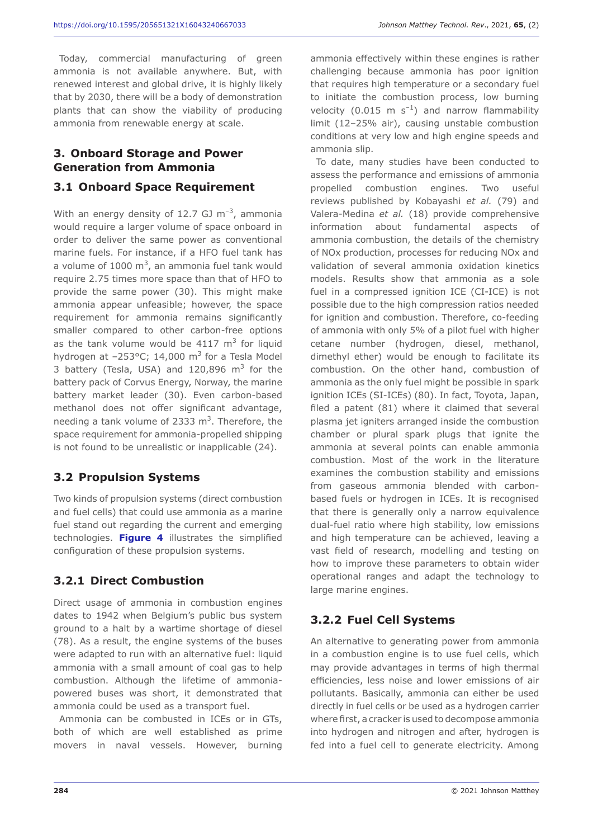Today, commercial manufacturing of green ammonia is not available anywhere. But, with renewed interest and global drive, it is highly likely that by 2030, there will be a body of demonstration plants that can show the viability of producing ammonia from renewable energy at scale.

# **3. Onboard Storage and Power Generation from Ammonia**

#### **3.1 Onboard Space Requirement**

With an energy density of 12.7 GJ  $\text{m}^{-3}$ , ammonia would require a larger volume of space onboard in order to deliver the same power as conventional marine fuels. For instance, if a HFO fuel tank has a volume of 1000  $\text{m}^3$ , an ammonia fuel tank would require 2.75 times more space than that of HFO to provide the same power (30). This might make ammonia appear unfeasible; however, the space requirement for ammonia remains significantly smaller compared to other carbon-free options as the tank volume would be  $4117 \text{ m}^3$  for liquid hydrogen at  $-253^{\circ}$ C; 14,000 m<sup>3</sup> for a Tesla Model 3 battery (Tesla, USA) and  $120,896$  m<sup>3</sup> for the battery pack of Corvus Energy, Norway, the marine battery market leader (30). Even carbon-based methanol does not offer significant advantage, needing a tank volume of 2333  $m<sup>3</sup>$ . Therefore, the space requirement for ammonia-propelled shipping is not found to be unrealistic or inapplicable (24).

#### **3.2 Propulsion Systems**

Two kinds of propulsion systems (direct combustion and fuel cells) that could use ammonia as a marine fuel stand out regarding the current and emerging technologies. **Figure 4** illustrates the simplified configuration of these propulsion systems.

#### **3.2.1 Direct Combustion**

Direct usage of ammonia in combustion engines dates to 1942 when Belgium's public bus system ground to a halt by a wartime shortage of diesel (78). As a result, the engine systems of the buses were adapted to run with an alternative fuel: liquid ammonia with a small amount of coal gas to help combustion. Although the lifetime of ammoniapowered buses was short, it demonstrated that ammonia could be used as a transport fuel.

Ammonia can be combusted in ICEs or in GTs, both of which are well established as prime movers in naval vessels. However, burning ammonia effectively within these engines is rather challenging because ammonia has poor ignition that requires high temperature or a secondary fuel to initiate the combustion process, low burning velocity (0.015 m  $s^{-1}$ ) and narrow flammability limit (12–25% air), causing unstable combustion conditions at very low and high engine speeds and ammonia slip.

To date, many studies have been conducted to assess the performance and emissions of ammonia propelled combustion engines. Two useful reviews published by Kobayashi *et al.* (79) and Valera-Medina *et al.* (18) provide comprehensive information about fundamental aspects of ammonia combustion, the details of the chemistry of NOx production, processes for reducing NOx and validation of several ammonia oxidation kinetics models. Results show that ammonia as a sole fuel in a compressed ignition ICE (CI-ICE) is not possible due to the high compression ratios needed for ignition and combustion. Therefore, co-feeding of ammonia with only 5% of a pilot fuel with higher cetane number (hydrogen, diesel, methanol, dimethyl ether) would be enough to facilitate its combustion. On the other hand, combustion of ammonia as the only fuel might be possible in spark ignition ICEs (SI-ICEs) (80). In fact, Toyota, Japan, filed a patent (81) where it claimed that several plasma jet igniters arranged inside the combustion chamber or plural spark plugs that ignite the ammonia at several points can enable ammonia combustion. Most of the work in the literature examines the combustion stability and emissions from gaseous ammonia blended with carbonbased fuels or hydrogen in ICEs. It is recognised that there is generally only a narrow equivalence dual-fuel ratio where high stability, low emissions and high temperature can be achieved, leaving a vast field of research, modelling and testing on how to improve these parameters to obtain wider operational ranges and adapt the technology to large marine engines.

# **3.2.2 Fuel Cell Systems**

An alternative to generating power from ammonia in a combustion engine is to use fuel cells, which may provide advantages in terms of high thermal efficiencies, less noise and lower emissions of air pollutants. Basically, ammonia can either be used directly in fuel cells or be used as a hydrogen carrier where first, a cracker is used to decompose ammonia into hydrogen and nitrogen and after, hydrogen is fed into a fuel cell to generate electricity. Among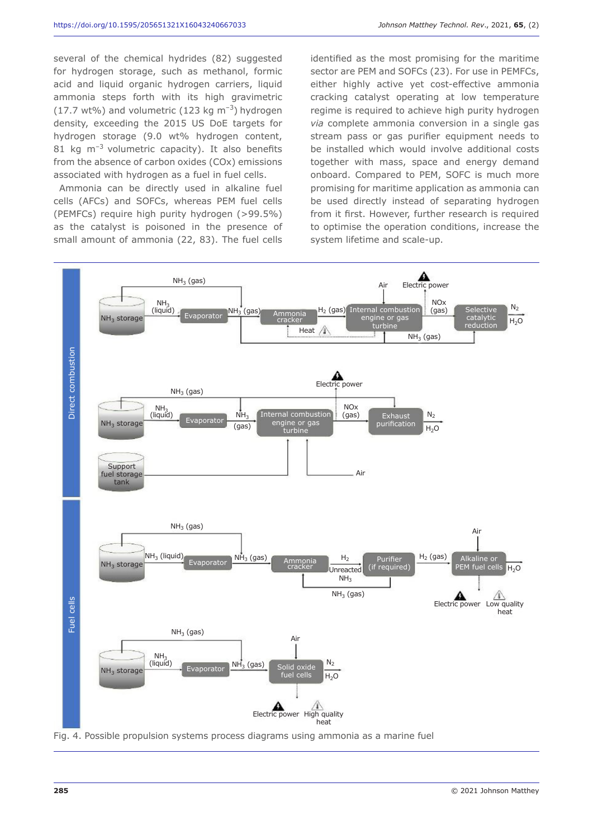several of the chemical hydrides (82) suggested for hydrogen storage, such as methanol, formic acid and liquid organic hydrogen carriers, liquid ammonia steps forth with its high gravimetric (17.7 wt%) and volumetric (123 kg  $\text{m}^{-3}$ ) hydrogen density, exceeding the 2015 US DoE targets for hydrogen storage (9.0 wt% hydrogen content, 81 kg  $m^{-3}$  volumetric capacity). It also benefits from the absence of carbon oxides (COx) emissions associated with hydrogen as a fuel in fuel cells.

Ammonia can be directly used in alkaline fuel cells (AFCs) and SOFCs, whereas PEM fuel cells (PEMFCs) require high purity hydrogen (>99.5%) as the catalyst is poisoned in the presence of small amount of ammonia (22, 83). The fuel cells identified as the most promising for the maritime sector are PEM and SOFCs (23). For use in PEMFCs, either highly active yet cost-effective ammonia cracking catalyst operating at low temperature regime is required to achieve high purity hydrogen *via* complete ammonia conversion in a single gas stream pass or gas purifier equipment needs to be installed which would involve additional costs together with mass, space and energy demand onboard. Compared to PEM, SOFC is much more promising for maritime application as ammonia can be used directly instead of separating hydrogen from it first. However, further research is required to optimise the operation conditions, increase the system lifetime and scale-up.

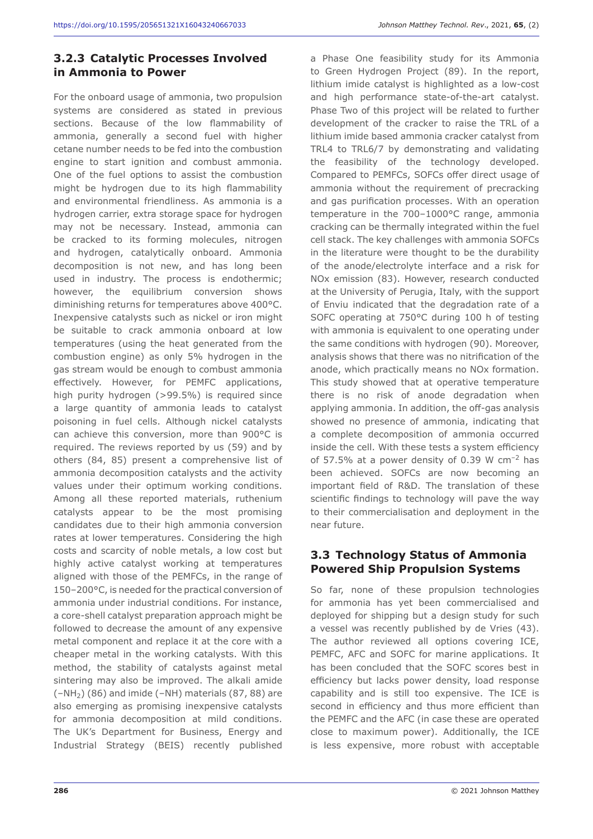# **3.2.3 Catalytic Processes Involved in Ammonia to Power**

For the onboard usage of ammonia, two propulsion systems are considered as stated in previous sections. Because of the low flammability of ammonia, generally a second fuel with higher cetane number needs to be fed into the combustion engine to start ignition and combust ammonia. One of the fuel options to assist the combustion might be hydrogen due to its high flammability and environmental friendliness. As ammonia is a hydrogen carrier, extra storage space for hydrogen may not be necessary. Instead, ammonia can be cracked to its forming molecules, nitrogen and hydrogen, catalytically onboard. Ammonia decomposition is not new, and has long been used in industry. The process is endothermic; however, the equilibrium conversion shows diminishing returns for temperatures above 400°C. Inexpensive catalysts such as nickel or iron might be suitable to crack ammonia onboard at low temperatures (using the heat generated from the combustion engine) as only 5% hydrogen in the gas stream would be enough to combust ammonia effectively. However, for PEMFC applications, high purity hydrogen (>99.5%) is required since a large quantity of ammonia leads to catalyst poisoning in fuel cells. Although nickel catalysts can achieve this conversion, more than 900°C is required. The reviews reported by us (59) and by others (84, 85) present a comprehensive list of ammonia decomposition catalysts and the activity values under their optimum working conditions. Among all these reported materials, ruthenium catalysts appear to be the most promising candidates due to their high ammonia conversion rates at lower temperatures. Considering the high costs and scarcity of noble metals, a low cost but highly active catalyst working at temperatures aligned with those of the PEMFCs, in the range of 150–200°C, is needed for the practical conversion of ammonia under industrial conditions. For instance, a core-shell catalyst preparation approach might be followed to decrease the amount of any expensive metal component and replace it at the core with a cheaper metal in the working catalysts. With this method, the stability of catalysts against metal sintering may also be improved. The alkali amide  $(-NH<sub>2</sub>)$  (86) and imide (–NH) materials (87, 88) are also emerging as promising inexpensive catalysts for ammonia decomposition at mild conditions. The UK's Department for Business, Energy and Industrial Strategy (BEIS) recently published

a Phase One feasibility study for its Ammonia to Green Hydrogen Project (89). In the report, lithium imide catalyst is highlighted as a low-cost and high performance state-of-the-art catalyst. Phase Two of this project will be related to further development of the cracker to raise the TRL of a lithium imide based ammonia cracker catalyst from TRL4 to TRL6/7 by demonstrating and validating the feasibility of the technology developed. Compared to PEMFCs, SOFCs offer direct usage of ammonia without the requirement of precracking and gas purification processes. With an operation temperature in the 700–1000°C range, ammonia cracking can be thermally integrated within the fuel cell stack. The key challenges with ammonia SOFCs in the literature were thought to be the durability of the anode/electrolyte interface and a risk for NOx emission (83). However, research conducted at the University of Perugia, Italy, with the support of Enviu indicated that the degradation rate of a SOFC operating at 750°C during 100 h of testing with ammonia is equivalent to one operating under the same conditions with hydrogen (90). Moreover, analysis shows that there was no nitrification of the anode, which practically means no NOx formation. This study showed that at operative temperature there is no risk of anode degradation when applying ammonia. In addition, the off-gas analysis showed no presence of ammonia, indicating that a complete decomposition of ammonia occurred inside the cell. With these tests a system efficiency of 57.5% at a power density of 0.39 W  $cm^{-2}$  has been achieved. SOFCs are now becoming an important field of R&D. The translation of these scientific findings to technology will pave the way to their commercialisation and deployment in the near future.

# **3.3 Technology Status of Ammonia Powered Ship Propulsion Systems**

So far, none of these propulsion technologies for ammonia has yet been commercialised and deployed for shipping but a design study for such a vessel was recently published by de Vries (43). The author reviewed all options covering ICE, PEMFC, AFC and SOFC for marine applications. It has been concluded that the SOFC scores best in efficiency but lacks power density, load response capability and is still too expensive. The ICE is second in efficiency and thus more efficient than the PEMFC and the AFC (in case these are operated close to maximum power). Additionally, the ICE is less expensive, more robust with acceptable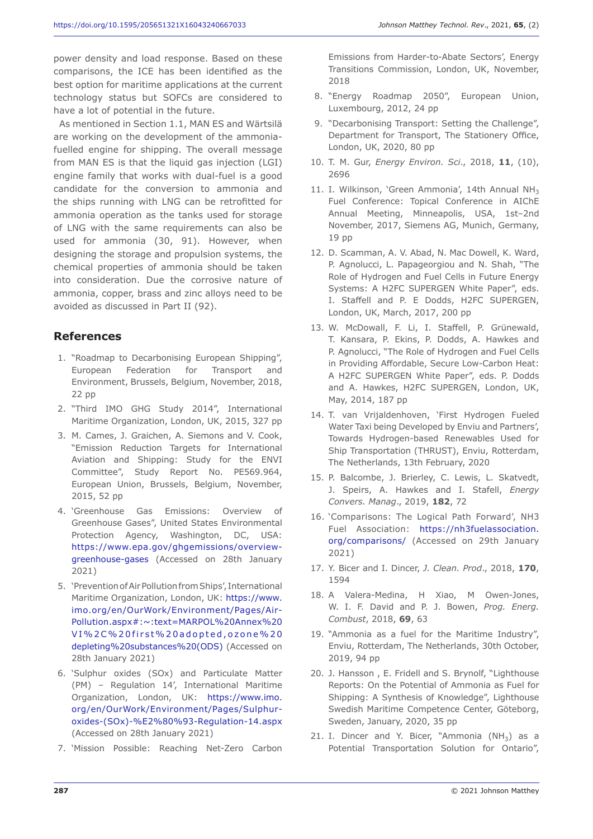power density and load response. Based on these comparisons, the ICE has been identified as the best option for maritime applications at the current technology status but SOFCs are considered to have a lot of potential in the future.

As mentioned in Section 1.1, MAN ES and Wärtsilä are working on the development of the ammoniafuelled engine for shipping. The overall message from MAN ES is that the liquid gas injection (LGI) engine family that works with dual-fuel is a good candidate for the conversion to ammonia and the ships running with LNG can be retrofitted for ammonia operation as the tanks used for storage of LNG with the same requirements can also be used for ammonia (30, 91). However, when designing the storage and propulsion systems, the chemical properties of ammonia should be taken into consideration. Due the corrosive nature of ammonia, copper, brass and zinc alloys need to be avoided as discussed in Part II (92).

# **References**

- 1. "Roadmap to Decarbonising European Shipping", European Federation for Transport and Environment, Brussels, Belgium, November, 2018, 22 pp
- 2. "Third IMO GHG Study 2014", International Maritime Organization, London, UK, 2015, 327 pp
- 3. M. Cames, J. Graichen, A. Siemons and V. Cook, "Emission Reduction Targets for International Aviation and Shipping: Study for the ENVI Committee", Study Report No. PE569.964, European Union, Brussels, Belgium, November, 2015, 52 pp
- 4. 'Greenhouse Gas Emissions: Overview of Greenhouse Gases", United States Environmental Protection Agency, Washington, DC, USA: https://www.epa.gov/ghgemissions/overviewgreenhouse-gases (Accessed on 28th January 2021)
- 5. 'Prevention of Air Pollution from Ships', International Maritime Organization, London, UK: https://www. imo.org/en/OurWork/Environment/Pages/Air-Pollution.aspx#:~:text=MARPOL%20Annex%20 VI%2C%20first%20adopted,ozone%20 depleting%20substances%20(ODS) (Accessed on 28th January 2021)
- 6. 'Sulphur oxides (SOx) and Particulate Matter (PM) – Regulation 14', International Maritime Organization, London, UK: https://www.imo. org/en/OurWork/Environment/Pages/Sulphuroxides-(SOx)-%E2%80%93-Regulation-14.aspx (Accessed on 28th January 2021)
- 7. 'Mission Possible: Reaching Net-Zero Carbon

Emissions from Harder-to-Abate Sectors', Energy Transitions Commission, London, UK, November, 2018

- 8. "Energy Roadmap 2050", European Union, Luxembourg, 2012, 24 pp
- 9. "Decarbonising Transport: Setting the Challenge", Department for Transport, The Stationery Office, London, UK, 2020, 80 pp
- 10. T. M. Gur, *Energy Environ. Sci*., 2018, **11**, (10), 2696
- 11. I. Wilkinson, 'Green Ammonia', 14th Annual NH<sub>3</sub> Fuel Conference: Topical Conference in AIChE Annual Meeting, Minneapolis, USA, 1st–2nd November, 2017, Siemens AG, Munich, Germany, 19 pp
- 12. D. Scamman, A. V. Abad, N. Mac Dowell, K. Ward, P. Agnolucci, L. Papageorgiou and N. Shah, "The Role of Hydrogen and Fuel Cells in Future Energy Systems: A H2FC SUPERGEN White Paper", eds. I. Staffell and P. E Dodds, H2FC SUPERGEN, London, UK, March, 2017, 200 pp
- 13. W. McDowall, F. Li, I. Staffell, P. Grünewald, T. Kansara, P. Ekins, P. Dodds, A. Hawkes and P. Agnolucci, "The Role of Hydrogen and Fuel Cells in Providing Affordable, Secure Low-Carbon Heat: A H2FC SUPERGEN White Paper", eds. P. Dodds and A. Hawkes, H2FC SUPERGEN, London, UK, May, 2014, 187 pp
- 14. T. van Vrijaldenhoven, 'First Hydrogen Fueled Water Taxi being Developed by Enviu and Partners', Towards Hydrogen-based Renewables Used for Ship Transportation (THRUST), Enviu, Rotterdam, The Netherlands, 13th February, 2020
- 15. P. Balcombe, J. Brierley, C. Lewis, L. Skatvedt, J. Speirs, A. Hawkes and I. Stafell, *Energy Convers. Manag*., 2019, **182**, 72
- 16. 'Comparisons: The Logical Path Forward', NH3 Fuel Association: https://nh3fuelassociation. org/comparisons/ (Accessed on 29th January 2021)
- 17. Y. Bicer and I. Dincer, *J. Clean. Prod*., 2018, **170**, 1594
- 18. A Valera-Medina, H Xiao, M Owen-Jones, W. I. F. David and P. J. Bowen, *Prog. Energ. Combust*, 2018, **69**, 63
- 19. "Ammonia as a fuel for the Maritime Industry", Enviu, Rotterdam, The Netherlands, 30th October, 2019, 94 pp
- 20. J. Hansson , E. Fridell and S. Brynolf, "Lighthouse Reports: On the Potential of Ammonia as Fuel for Shipping: A Synthesis of Knowledge", Lighthouse Swedish Maritime Competence Center, Göteborg, Sweden, January, 2020, 35 pp
- 21. I. Dincer and Y. Bicer, "Ammonia  $(NH<sub>3</sub>)$  as a Potential Transportation Solution for Ontario",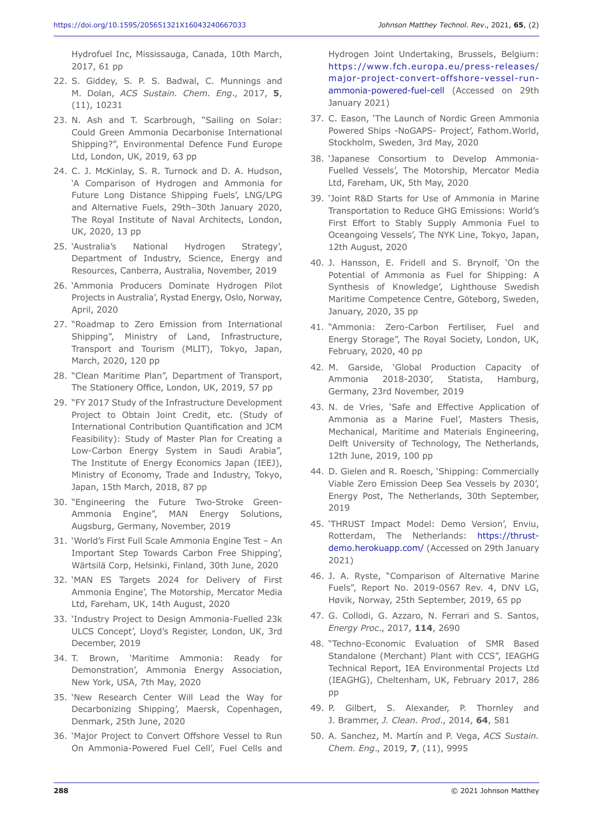Hydrofuel Inc, Mississauga, Canada, 10th March, 2017, 61 pp

- 22. S. Giddey, S. P. S. Badwal, C. Munnings and M. Dolan, *ACS Sustain. Chem. Eng*., 2017, **5**, (11), 10231
- 23. N. Ash and T. Scarbrough, "Sailing on Solar: Could Green Ammonia Decarbonise International Shipping?", Environmental Defence Fund Europe Ltd, London, UK, 2019, 63 pp
- 24. C. J. McKinlay, S. R. Turnock and D. A. Hudson, 'A Comparison of Hydrogen and Ammonia for Future Long Distance Shipping Fuels', LNG/LPG and Alternative Fuels, 29th–30th January 2020, The Royal Institute of Naval Architects, London, UK, 2020, 13 pp
- 25. 'Australia's National Hydrogen Strategy', Department of Industry, Science, Energy and Resources, Canberra, Australia, November, 2019
- 26. 'Ammonia Producers Dominate Hydrogen Pilot Projects in Australia', Rystad Energy, Oslo, Norway, April, 2020
- 27. "Roadmap to Zero Emission from International Shipping", Ministry of Land, Infrastructure, Transport and Tourism (MLIT), Tokyo, Japan, March, 2020, 120 pp
- 28. "Clean Maritime Plan", Department of Transport, The Stationery Office, London, UK, 2019, 57 pp
- 29. "FY 2017 Study of the Infrastructure Development Project to Obtain Joint Credit, etc. (Study of International Contribution Quantification and JCM Feasibility): Study of Master Plan for Creating a Low-Carbon Energy System in Saudi Arabia", The Institute of Energy Economics Japan (IEEJ), Ministry of Economy, Trade and Industry, Tokyo, Japan, 15th March, 2018, 87 pp
- 30. "Engineering the Future Two-Stroke Green-Ammonia Engine", MAN Energy Solutions, Augsburg, Germany, November, 2019
- 31. 'World's First Full Scale Ammonia Engine Test An Important Step Towards Carbon Free Shipping', Wärtsilä Corp, Helsinki, Finland, 30th June, 2020
- 32. 'MAN ES Targets 2024 for Delivery of First Ammonia Engine', The Motorship, Mercator Media Ltd, Fareham, UK, 14th August, 2020
- 33. 'Industry Project to Design Ammonia-Fuelled 23k ULCS Concept', Lloyd's Register, London, UK, 3rd December, 2019
- 34. T. Brown, 'Maritime Ammonia: Ready for Demonstration', Ammonia Energy Association, New York, USA, 7th May, 2020
- 35. 'New Research Center Will Lead the Way for Decarbonizing Shipping', Maersk, Copenhagen, Denmark, 25th June, 2020
- 36. 'Major Project to Convert Offshore Vessel to Run On Ammonia-Powered Fuel Cell', Fuel Cells and

Hydrogen Joint Undertaking, Brussels, Belgium: https://www.fch.europa.eu/press-releases/ major-project-convert-offshore-vessel-runammonia-powered-fuel-cell (Accessed on 29th January 2021)

- 37. C. Eason, 'The Launch of Nordic Green Ammonia Powered Ships -NoGAPS- Project', Fathom.World, Stockholm, Sweden, 3rd May, 2020
- 38. 'Japanese Consortium to Develop Ammonia-Fuelled Vessels', The Motorship, Mercator Media Ltd, Fareham, UK, 5th May, 2020
- 39. 'Joint R&D Starts for Use of Ammonia in Marine Transportation to Reduce GHG Emissions: World's First Effort to Stably Supply Ammonia Fuel to Oceangoing Vessels', The NYK Line, Tokyo, Japan, 12th August, 2020
- 40. J. Hansson, E. Fridell and S. Brynolf, 'On the Potential of Ammonia as Fuel for Shipping: A Synthesis of Knowledge', Lighthouse Swedish Maritime Competence Centre, Göteborg, Sweden, January, 2020, 35 pp
- 41. "Ammonia: Zero-Carbon Fertiliser, Fuel and Energy Storage", The Royal Society, London, UK, February, 2020, 40 pp
- 42. M. Garside, 'Global Production Capacity of Ammonia 2018-2030', Statista, Hamburg, Germany, 23rd November, 2019
- 43. N. de Vries, 'Safe and Effective Application of Ammonia as a Marine Fuel', Masters Thesis, Mechanical, Maritime and Materials Engineering, Delft University of Technology, The Netherlands, 12th June, 2019, 100 pp
- 44. D. Gielen and R. Roesch, 'Shipping: Commercially Viable Zero Emission Deep Sea Vessels by 2030', Energy Post, The Netherlands, 30th September, 2019
- 45. 'THRUST Impact Model: Demo Version', Enviu, Rotterdam, The Netherlands: https://thrustdemo.herokuapp.com/ (Accessed on 29th January 2021)
- 46. J. A. Ryste, "Comparison of Alternative Marine Fuels", Report No. 2019-0567 Rev. 4, DNV LG, Høvik, Norway, 25th September, 2019, 65 pp
- 47. G. Collodi, G. Azzaro, N. Ferrari and S. Santos, *Energy Proc*., 2017, **114**, 2690
- 48. "Techno-Economic Evaluation of SMR Based Standalone (Merchant) Plant with CCS", IEAGHG Technical Report, IEA Environmental Projects Ltd (IEAGHG), Cheltenham, UK, February 2017, 286 pp
- 49. P. Gilbert, S. Alexander, P. Thornley and J. Brammer, *J. Clean. Prod*., 2014, **64**, 581
- 50. A. Sanchez, M. Martín and P. Vega, *ACS Sustain. Chem. Eng*., 2019, **7**, (11), 9995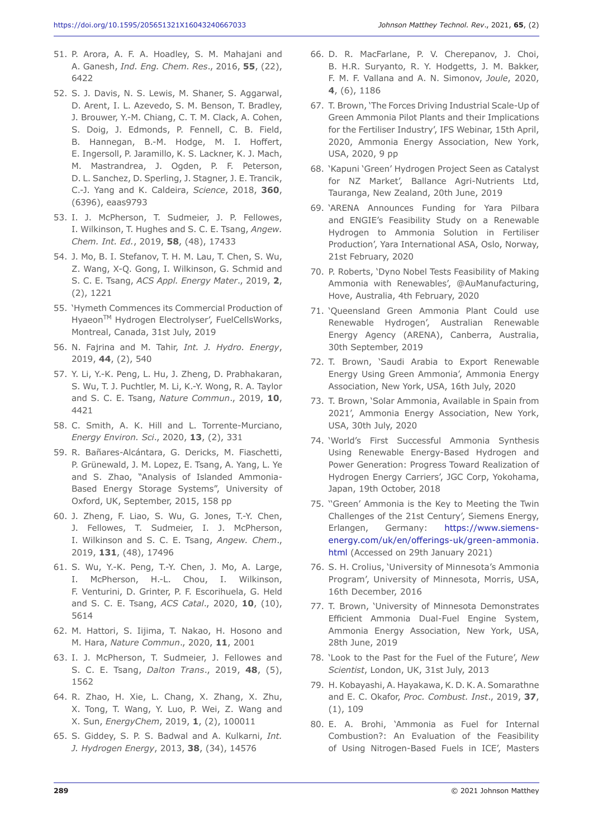- 51. P. Arora, A. F. A. Hoadley, S. M. Mahajani and A. Ganesh, *Ind. Eng. Chem. Res*., 2016, **55**, (22), 6422
- 52. S. J. Davis, N. S. Lewis, M. Shaner, S. Aggarwal, D. Arent, I. L. Azevedo, S. M. Benson, T. Bradley, J. Brouwer, Y.-M. Chiang, C. T. M. Clack, A. Cohen, S. Doig, J. Edmonds, P. Fennell, C. B. Field, B. Hannegan, B.-M. Hodge, M. I. Hoffert, E. Ingersoll, P. Jaramillo, K. S. Lackner, K. J. Mach, M. Mastrandrea, J. Ogden, P. F. Peterson, D. L. Sanchez, D. Sperling, J. Stagner, J. E. Trancik, C.-J. Yang and K. Caldeira, *Science*, 2018, **360**, (6396), eaas9793
- 53. I. J. McPherson, T. Sudmeier, J. P. Fellowes, I. Wilkinson, T. Hughes and S. C. E. Tsang, *Angew. Chem. Int. Ed.*, 2019, **58**, (48), 17433
- 54. J. Mo, B. I. Stefanov, T. H. M. Lau, T. Chen, S. Wu, Z. Wang, X-Q. Gong, I. Wilkinson, G. Schmid and S. C. E. Tsang, *ACS Appl. Energy Mater*., 2019, **2**, (2), 1221
- 55. 'Hymeth Commences its Commercial Production of Hyaeon<sup>™</sup> Hydrogen Electrolyser', FuelCellsWorks, Montreal, Canada, 31st July, 2019
- 56. N. Fajrina and M. Tahir, *Int. J. Hydro. Energy*, 2019, **44**, (2), 540
- 57. Y. Li, Y.-K. Peng, L. Hu, J. Zheng, D. Prabhakaran, S. Wu, T. J. Puchtler, M. Li, K.-Y. Wong, R. A. Taylor and S. C. E. Tsang, *Nature Commun*., 2019, **10**, 4421
- 58. C. Smith, A. K. Hill and L. Torrente-Murciano, *Energy Environ. Sci*., 2020, **13**, (2), 331
- 59. R. Bañares-Alcántara, G. Dericks, M. Fiaschetti, P. Grünewald, J. M. Lopez, E. Tsang, A. Yang, L. Ye and S. Zhao, "Analysis of Islanded Ammonia-Based Energy Storage Systems", University of Oxford, UK, September, 2015, 158 pp
- 60. J. Zheng, F. Liao, S. Wu, G. Jones, T.-Y. Chen, J. Fellowes, T. Sudmeier, I. J. McPherson, I. Wilkinson and S. C. E. Tsang, *Angew. Chem*., 2019, **131**, (48), 17496
- 61. S. Wu, Y.-K. Peng, T.-Y. Chen, J. Mo, A. Large, I. McPherson, H.-L. Chou, I. Wilkinson, F. Venturini, D. Grinter, P. F. Escorihuela, G. Held and S. C. E. Tsang, *ACS Catal*., 2020, **10**, (10), 5614
- 62. M. Hattori, S. Iijima, T. Nakao, H. Hosono and M. Hara, *Nature Commun*., 2020, **11**, 2001
- 63. I. J. McPherson, T. Sudmeier, J. Fellowes and S. C. E. Tsang, *Dalton Trans*., 2019, **48**, (5), 1562
- 64. R. Zhao, H. Xie, L. Chang, X. Zhang, X. Zhu, X. Tong, T. Wang, Y. Luo, P. Wei, Z. Wang and X. Sun, *EnergyChem*, 2019, **1**, (2), 100011
- 65. S. Giddey, S. P. S. Badwal and A. Kulkarni, *Int. J. Hydrogen Energy*, 2013, **38**, (34), 14576
- 66. D. R. MacFarlane, P. V. Cherepanov, J. Choi, B. H.R. Suryanto, R. Y. Hodgetts, J. M. Bakker, F. M. F. Vallana and A. N. Simonov, *Joule*, 2020, **4**, (6), 1186
- 67. T. Brown, 'The Forces Driving Industrial Scale-Up of Green Ammonia Pilot Plants and their Implications for the Fertiliser Industry', IFS Webinar, 15th April, 2020, Ammonia Energy Association, New York, USA, 2020, 9 pp
- 68. 'Kapuni 'Green' Hydrogen Project Seen as Catalyst for NZ Market', Ballance Agri-Nutrients Ltd, Tauranga, New Zealand, 20th June, 2019
- 69. 'ARENA Announces Funding for Yara Pilbara and ENGIE's Feasibility Study on a Renewable Hydrogen to Ammonia Solution in Fertiliser Production', Yara International ASA, Oslo, Norway, 21st February, 2020
- 70. P. Roberts, 'Dyno Nobel Tests Feasibility of Making Ammonia with Renewables', @AuManufacturing, Hove, Australia, 4th February, 2020
- 71. 'Queensland Green Ammonia Plant Could use Renewable Hydrogen', Australian Renewable Energy Agency (ARENA), Canberra, Australia, 30th September, 2019
- 72. T. Brown, 'Saudi Arabia to Export Renewable Energy Using Green Ammonia', Ammonia Energy Association, New York, USA, 16th July, 2020
- 73. T. Brown, 'Solar Ammonia, Available in Spain from 2021', Ammonia Energy Association, New York, USA, 30th July, 2020
- 74. 'World's First Successful Ammonia Synthesis Using Renewable Energy-Based Hydrogen and Power Generation: Progress Toward Realization of Hydrogen Energy Carriers', JGC Corp, Yokohama, Japan, 19th October, 2018
- 75. ''Green' Ammonia is the Key to Meeting the Twin Challenges of the 21st Century', Siemens Energy, Erlangen, Germany: https://www.siemensenergy.com/uk/en/offerings-uk/green-ammonia. html (Accessed on 29th January 2021)
- 76. S. H. Crolius, 'University of Minnesota's Ammonia Program', University of Minnesota, Morris, USA, 16th December, 2016
- 77. T. Brown, 'University of Minnesota Demonstrates Efficient Ammonia Dual-Fuel Engine System, Ammonia Energy Association, New York, USA, 28th June, 2019
- 78. 'Look to the Past for the Fuel of the Future', *New Scientist*, London, UK, 31st July, 2013
- 79. H. Kobayashi, A. Hayakawa, K. D. K. A. Somarathne and E. C. Okafor, *Proc. Combust. Inst*., 2019, **37**, (1), 109
- 80. E. A. Brohi, 'Ammonia as Fuel for Internal Combustion?: An Evaluation of the Feasibility of Using Nitrogen-Based Fuels in ICE', Masters